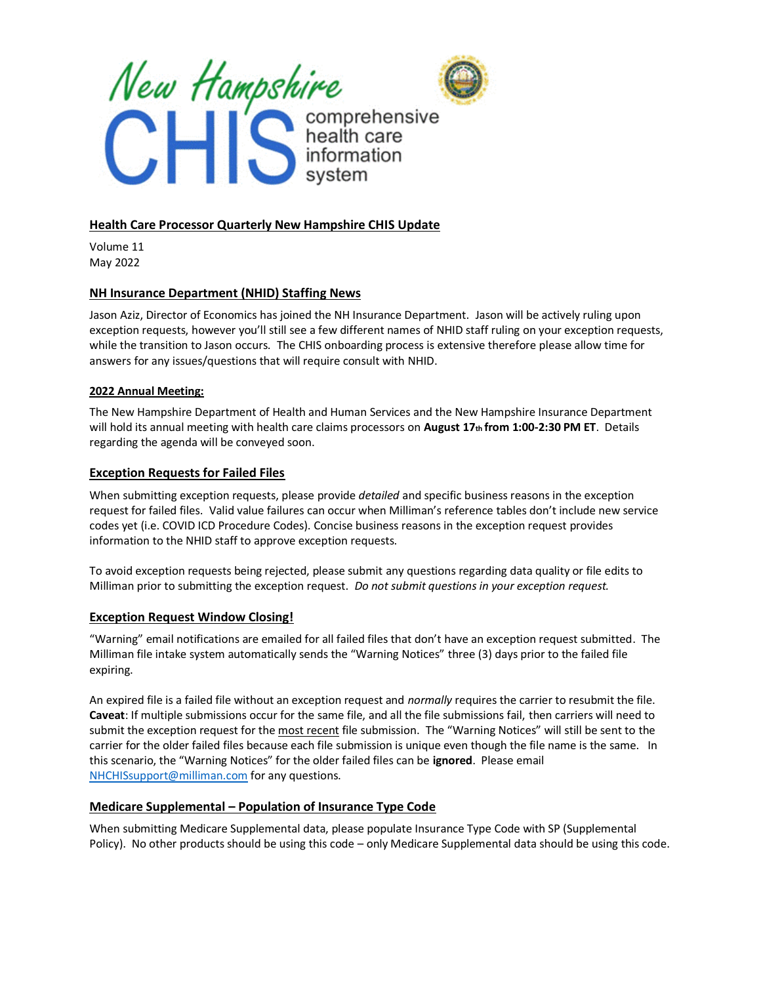



# **Health Care Processor Quarterly New Hampshire CHIS Update**

Volume 11 May 2022

## **NH Insurance Department (NHID) Staffing News**

Jason Aziz, Director of Economics has joined the NH Insurance Department. Jason will be actively ruling upon exception requests, however you'll still see a few different names of NHID staff ruling on your exception requests, while the transition to Jason occurs. The CHIS onboarding process is extensive therefore please allow time for answers for any issues/questions that will require consult with NHID.

## **2022 Annual Meeting:**

The New Hampshire Department of Health and Human Services and the New Hampshire Insurance Department will hold its annual meeting with health care claims processors on **August 17th from 1:00-2:30 PM ET**. Details regarding the agenda will be conveyed soon.

## **Exception Requests for Failed Files**

When submitting exception requests, please provide *detailed* and specific business reasons in the exception request for failed files. Valid value failures can occur when Milliman's reference tables don't include new service codes yet (i.e. COVID ICD Procedure Codes). Concise business reasons in the exception request provides information to the NHID staff to approve exception requests.

To avoid exception requests being rejected, please submit any questions regarding data quality or file edits to Milliman prior to submitting the exception request. *Do not submit questions in your exception request.*

## **Exception Request Window Closing!**

"Warning" email notifications are emailed for all failed files that don't have an exception request submitted. The Milliman file intake system automatically sends the "Warning Notices" three (3) days prior to the failed file expiring.

An expired file is a failed file without an exception request and *normally* requires the carrier to resubmit the file. **Caveat**: If multiple submissions occur for the same file, and all the file submissions fail, then carriers will need to submit the exception request for the most recent file submission. The "Warning Notices" will still be sent to the carrier for the older failed files because each file submission is unique even though the file name is the same. In this scenario, the "Warning Notices" for the older failed files can be **ignored**. Please email [NHCHISsupport@milliman.com](mailto:NHCHISsupport@milliman.com) for any questions.

## **Medicare Supplemental – Population of Insurance Type Code**

When submitting Medicare Supplemental data, please populate Insurance Type Code with SP (Supplemental Policy). No other products should be using this code – only Medicare Supplemental data should be using this code.